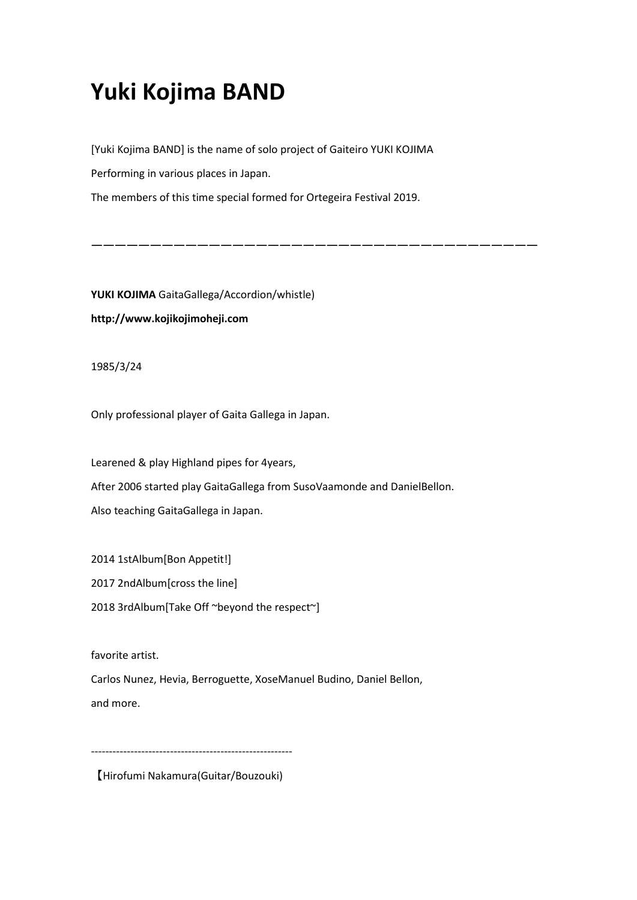## **Yuki Kojima BAND**

[Yuki Kojima BAND] is the name of solo project of Gaiteiro YUKI KOJIMA Performing in various places in Japan.

The members of this time special formed for Ortegeira Festival 2019.

ーーーーーーーーーーーーーーーーーーーーーーーーーーーーーーーーーーーーーー

**YUKI KOJIMA** GaitaGallega/Accordion/whistle) **http://www.kojikojimoheji.com**

1985/3/24

Only professional player of Gaita Gallega in Japan.

Learened & play Highland pipes for 4years, After 2006 started play GaitaGallega from SusoVaamonde and DanielBellon. Also teaching GaitaGallega in Japan.

2014 1stAlbum[Bon Appetit!]

2017 2ndAlbum[cross the line]

2018 3rdAlbum[Take Off ~beyond the respect~]

favorite artist.

Carlos Nunez, Hevia, Berroguette, XoseManuel Budino, Daniel Bellon, and more.

--------------------------------------------------------

【Hirofumi Nakamura(Guitar/Bouzouki)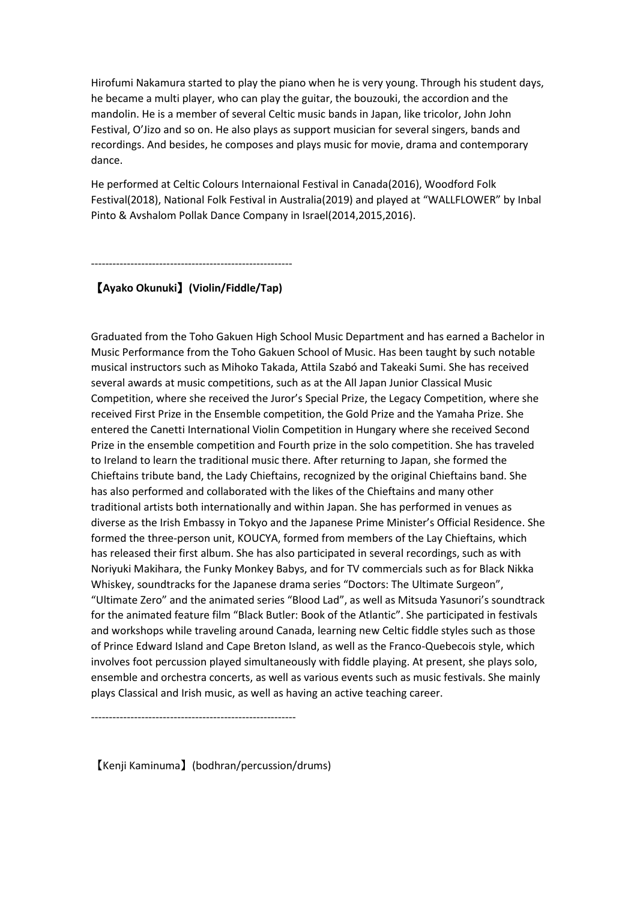Hirofumi Nakamura started to play the piano when he is very young. Through his student days, he became a multi player, who can play the guitar, the bouzouki, the accordion and the mandolin. He is a member of several Celtic music bands in Japan, like tricolor, John John Festival, O'Jizo and so on. He also plays as support musician for several singers, bands and recordings. And besides, he composes and plays music for movie, drama and contemporary dance.

He performed at Celtic Colours Internaional Festival in Canada(2016), Woodford Folk Festival(2018), National Folk Festival in Australia(2019) and played at "WALLFLOWER" by Inbal Pinto & Avshalom Pollak Dance Company in Israel(2014,2015,2016).

--------------------------------------------------------

## 【**Ayako Okunuki**】**(Violin/Fiddle/Tap)**

Graduated from the Toho Gakuen High School Music Department and has earned a Bachelor in Music Performance from the Toho Gakuen School of Music. Has been taught by such notable musical instructors such as Mihoko Takada, Attila Szabó and Takeaki Sumi. She has received several awards at music competitions, such as at the All Japan Junior Classical Music Competition, where she received the Juror's Special Prize, the Legacy Competition, where she received First Prize in the Ensemble competition, the Gold Prize and the Yamaha Prize. She entered the Canetti International Violin Competition in Hungary where she received Second Prize in the ensemble competition and Fourth prize in the solo competition. She has traveled to Ireland to learn the traditional music there. After returning to Japan, she formed the Chieftains tribute band, the Lady Chieftains, recognized by the original Chieftains band. She has also performed and collaborated with the likes of the Chieftains and many other traditional artists both internationally and within Japan. She has performed in venues as diverse as the Irish Embassy in Tokyo and the Japanese Prime Minister's Official Residence. She formed the three-person unit, KOUCYA, formed from members of the Lay Chieftains, which has released their first album. She has also participated in several recordings, such as with Noriyuki Makihara, the Funky Monkey Babys, and for TV commercials such as for Black Nikka Whiskey, soundtracks for the Japanese drama series "Doctors: The Ultimate Surgeon", "Ultimate Zero" and the animated series "Blood Lad", as well as Mitsuda Yasunori's soundtrack for the animated feature film "Black Butler: Book of the Atlantic". She participated in festivals and workshops while traveling around Canada, learning new Celtic fiddle styles such as those of Prince Edward Island and Cape Breton Island, as well as the Franco-Quebecois style, which involves foot percussion played simultaneously with fiddle playing. At present, she plays solo, ensemble and orchestra concerts, as well as various events such as music festivals. She mainly plays Classical and Irish music, as well as having an active teaching career.

【Kenji Kaminuma】(bodhran/percussion/drums)

---------------------------------------------------------